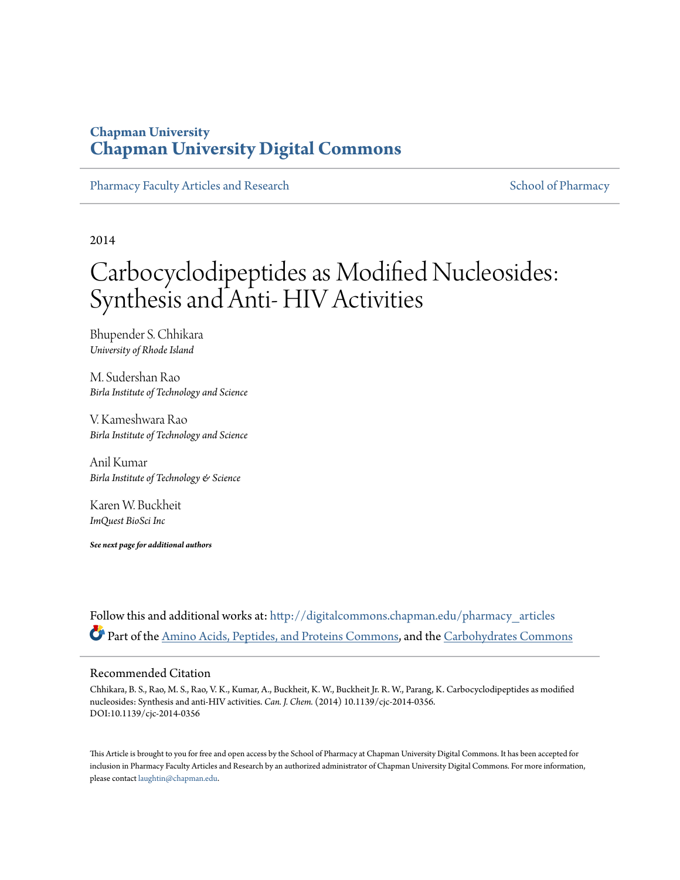### **Chapman University [Chapman University Digital Commons](http://digitalcommons.chapman.edu?utm_source=digitalcommons.chapman.edu%2Fpharmacy_articles%2F99&utm_medium=PDF&utm_campaign=PDFCoverPages)**

[Pharmacy Faculty Articles and Research](http://digitalcommons.chapman.edu/pharmacy_articles?utm_source=digitalcommons.chapman.edu%2Fpharmacy_articles%2F99&utm_medium=PDF&utm_campaign=PDFCoverPages) [School of Pharmacy](http://digitalcommons.chapman.edu/cusp?utm_source=digitalcommons.chapman.edu%2Fpharmacy_articles%2F99&utm_medium=PDF&utm_campaign=PDFCoverPages) School of Pharmacy

2014

# Carbocyclodipeptides as Modified Nucleosides: Synthesis and Anti- HIV Activities

Bhupender S. Chhikara *University of Rhode Island*

M. Sudershan Rao *Birla Institute of Technology and Science*

V. Kameshwara Rao *Birla Institute of Technology and Science*

Anil Kumar *Birla Institute of Technology & Science*

Karen W. Buckheit *ImQuest BioSci Inc*

*See next page for additional authors*

Follow this and additional works at: [http://digitalcommons.chapman.edu/pharmacy\\_articles](http://digitalcommons.chapman.edu/pharmacy_articles?utm_source=digitalcommons.chapman.edu%2Fpharmacy_articles%2F99&utm_medium=PDF&utm_campaign=PDFCoverPages) Part of the [Amino Acids, Peptides, and Proteins Commons](http://network.bepress.com/hgg/discipline/954?utm_source=digitalcommons.chapman.edu%2Fpharmacy_articles%2F99&utm_medium=PDF&utm_campaign=PDFCoverPages), and the [Carbohydrates Commons](http://network.bepress.com/hgg/discipline/999?utm_source=digitalcommons.chapman.edu%2Fpharmacy_articles%2F99&utm_medium=PDF&utm_campaign=PDFCoverPages)

#### Recommended Citation

Chhikara, B. S., Rao, M. S., Rao, V. K., Kumar, A., Buckheit, K. W., Buckheit Jr. R. W., Parang, K. Carbocyclodipeptides as modified nucleosides: Synthesis and anti-HIV activities. *Can. J. Chem.* (2014) 10.1139/cjc-2014-0356. DOI:10.1139/cjc-2014-0356

This Article is brought to you for free and open access by the School of Pharmacy at Chapman University Digital Commons. It has been accepted for inclusion in Pharmacy Faculty Articles and Research by an authorized administrator of Chapman University Digital Commons. For more information, please contact [laughtin@chapman.edu.](mailto:laughtin@chapman.edu)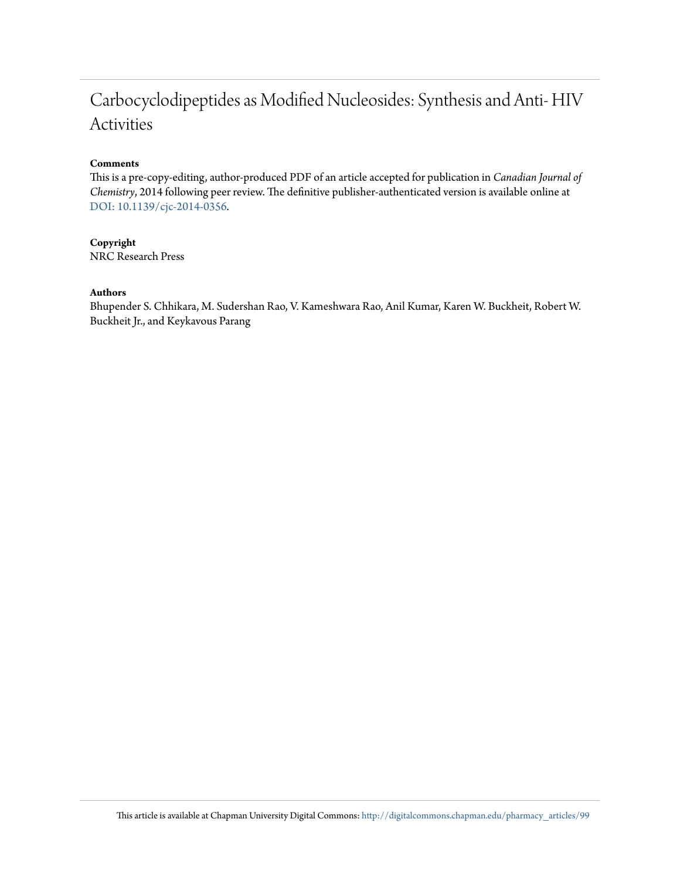## Carbocyclodipeptides as Modified Nucleosides: Synthesis and Anti- HIV Activities

#### **Comments**

This is a pre-copy-editing, author-produced PDF of an article accepted for publication in *Canadian Journal of Chemistry*, 2014 following peer review. The definitive publisher-authenticated version is available online at [DOI: 10.1139/cjc-2014-0356](http://dx.doi.org/10.1139/cjc-2014-0356).

**Copyright** NRC Research Press

#### **Authors**

Bhupender S. Chhikara, M. Sudershan Rao, V. Kameshwara Rao, Anil Kumar, Karen W. Buckheit, Robert W. Buckheit Jr., and Keykavous Parang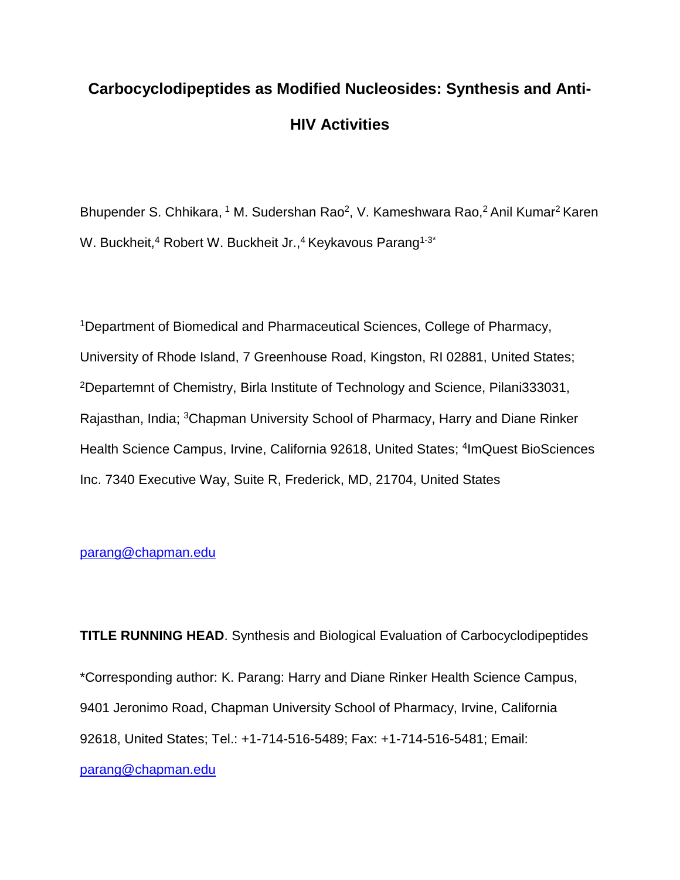# **Carbocyclodipeptides as Modified Nucleosides: Synthesis and Anti-HIV Activities**

Bhupender S. Chhikara, <sup>1</sup> M. Sudershan Rao<sup>2</sup>, V. Kameshwara Rao,<sup>2</sup> Anil Kumar<sup>2</sup> Karen W. Buckheit,<sup>4</sup> Robert W. Buckheit Jr.,<sup>4</sup> Keykavous Parang<sup>1-3\*</sup>

<sup>1</sup>Department of Biomedical and Pharmaceutical Sciences, College of Pharmacy, University of Rhode Island, 7 Greenhouse Road, Kingston, RI 02881, United States; <sup>2</sup>Departemnt of Chemistry, Birla Institute of Technology and Science, Pilani333031, Rajasthan, India; <sup>3</sup>Chapman University School of Pharmacy, Harry and Diane Rinker Health Science Campus, Irvine, California 92618, United States; <sup>4</sup>ImQuest BioSciences Inc. 7340 Executive Way, Suite R, Frederick, MD, 21704, United States

#### [parang@chapman.edu](mailto:parang@chapman.edu)

**TITLE RUNNING HEAD**. Synthesis and Biological Evaluation of Carbocyclodipeptides \*Corresponding author: K. Parang: Harry and Diane Rinker Health Science Campus, 9401 Jeronimo Road, Chapman University School of Pharmacy, Irvine, California 92618, United States; Tel.: +1-714-516-5489; Fax: +1-714-516-5481; Email: [parang@chapman.edu](mailto:parang@chapman.edu)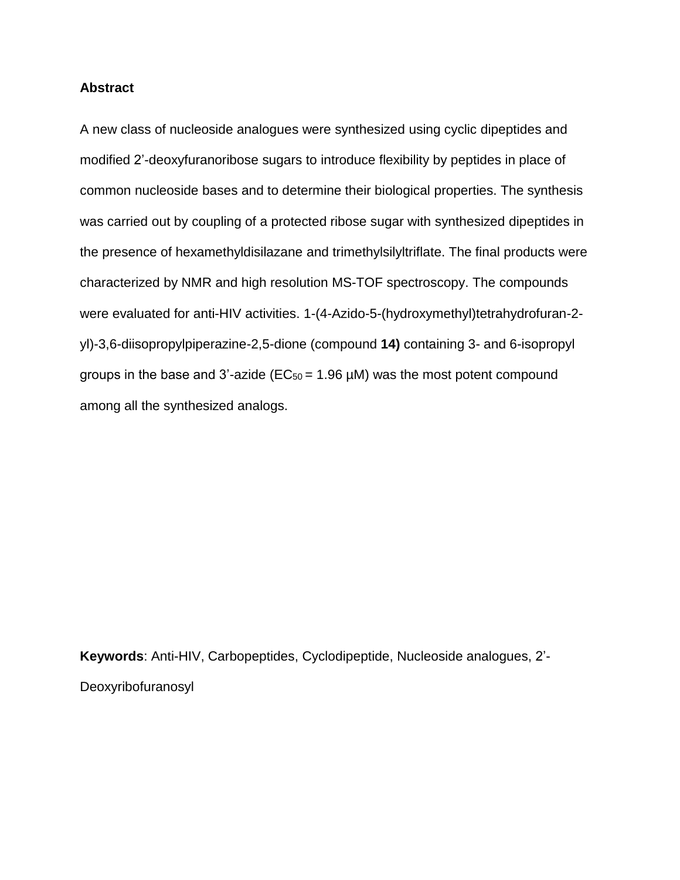#### **Abstract**

A new class of nucleoside analogues were synthesized using cyclic dipeptides and modified 2'-deoxyfuranoribose sugars to introduce flexibility by peptides in place of common nucleoside bases and to determine their biological properties. The synthesis was carried out by coupling of a protected ribose sugar with synthesized dipeptides in the presence of hexamethyldisilazane and trimethylsilyltriflate. The final products were characterized by NMR and high resolution MS-TOF spectroscopy. The compounds were evaluated for anti-HIV activities. 1-(4-Azido-5-(hydroxymethyl)tetrahydrofuran-2 yl)-3,6-diisopropylpiperazine-2,5-dione (compound **14)** containing 3- and 6-isopropyl groups in the base and 3'-azide ( $EC_{50} = 1.96 \mu M$ ) was the most potent compound among all the synthesized analogs.

**Keywords**: Anti-HIV, Carbopeptides, Cyclodipeptide, Nucleoside analogues, 2'- Deoxyribofuranosyl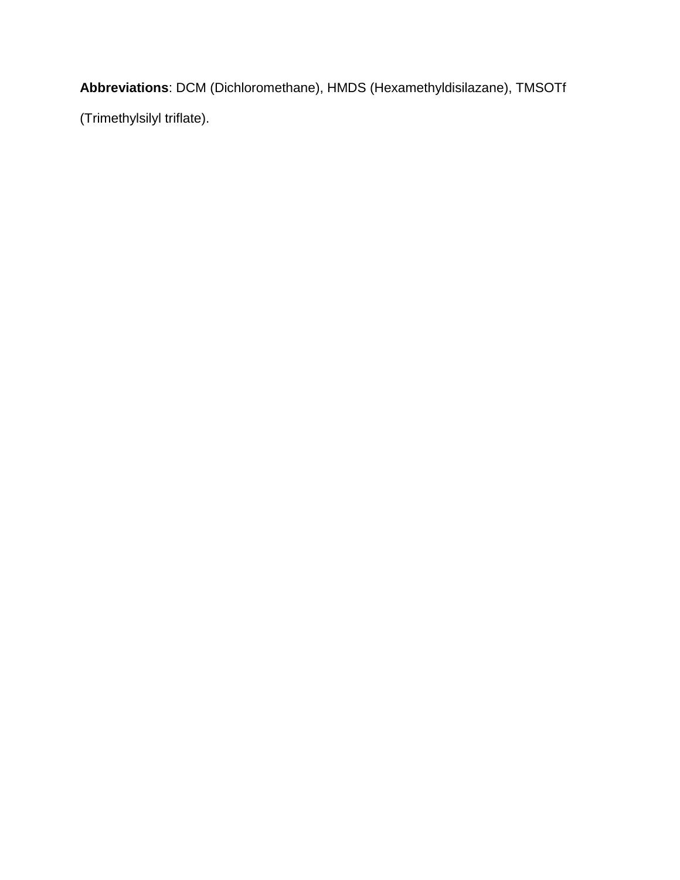**Abbreviations**: DCM (Dichloromethane), HMDS (Hexamethyldisilazane), TMSOTf

(Trimethylsilyl triflate).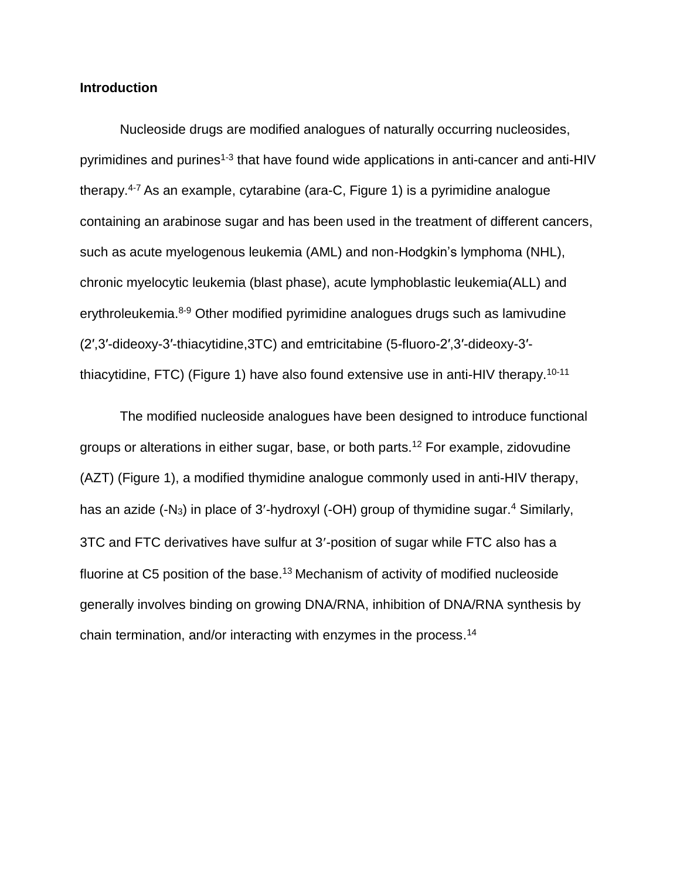#### **Introduction**

Nucleoside drugs are modified analogues of naturally occurring nucleosides, pyrimidines and purines<sup>[1-3](#page-19-0)</sup> that have found wide applications in anti-cancer and anti-HIV therapy.[4-7](#page-19-1) As an example, cytarabine (ara-C, Figure 1) is a pyrimidine analogue containing an arabinose sugar and has been used in the treatment of different cancers, such as acute myelogenous leukemia (AML) and non-Hodgkin's lymphoma (NHL), chronic myelocytic leukemia (blast phase), acute lymphoblastic leukemia(ALL) and erythroleukemia.<sup>[8-9](#page-19-2)</sup> Other modified pyrimidine analogues drugs such as lamivudine (2′,3′-dideoxy-3′-thiacytidine,3TC) and emtricitabine (5-fluoro-2′,3′-dideoxy-3′ thiacytidine, FTC) (Figure 1) have also found extensive use in anti-HIV therapy.[10-11](#page-19-3)

The modified nucleoside analogues have been designed to introduce functional groups or alterations in either sugar, base, or both parts.[12](#page-20-0) For example, zidovudine (AZT) (Figure 1), a modified thymidine analogue commonly used in anti-HIV therapy, has an azide (-N<sub>3</sub>) in place of 3'-hydroxyl (-OH) group of thymidine sugar.<sup>[4](#page-19-1)</sup> Similarly, 3TC and FTC derivatives have sulfur at 3-position of sugar while FTC also has a fluorine at C5 position of the base.<sup>[13](#page-20-1)</sup> Mechanism of activity of modified nucleoside generally involves binding on growing DNA/RNA, inhibition of DNA/RNA synthesis by chain termination, and/or interacting with enzymes in the process.<sup>[14](#page-20-2)</sup>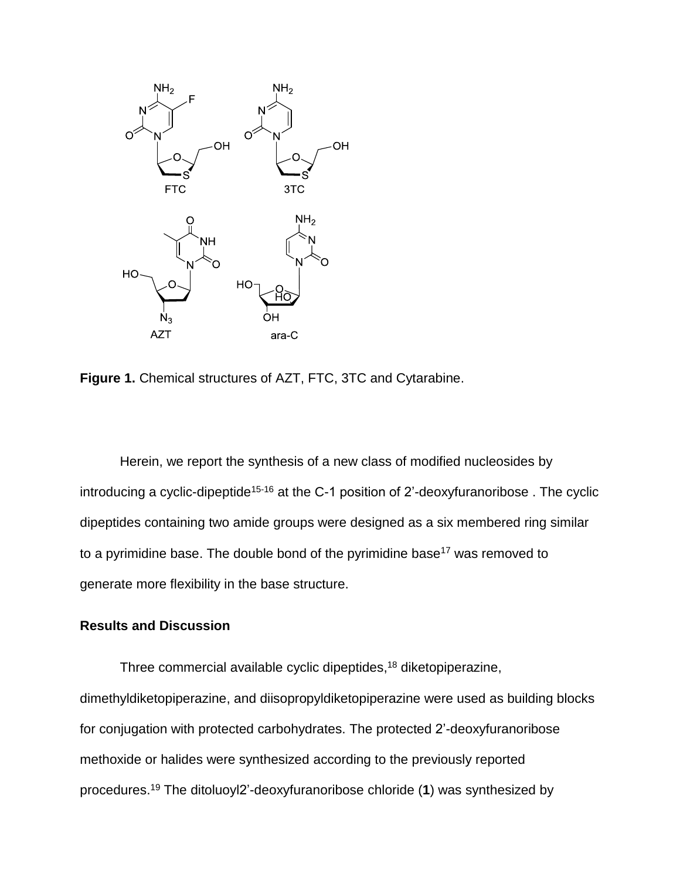

**Figure 1.** Chemical structures of AZT, FTC, 3TC and Cytarabine.

Herein, we report the synthesis of a new class of modified nucleosides by introducing a cyclic-dipeptide<sup>[15-16](#page-20-3)</sup> at the C-1 position of 2'-deoxyfuranoribose. The cyclic dipeptides containing two amide groups were designed as a six membered ring similar to a pyrimidine base. The double bond of the pyrimidine base<sup>[17](#page-20-4)</sup> was removed to generate more flexibility in the base structure.

#### **Results and Discussion**

Three commercial available cyclic dipeptides, [18](#page-20-5) diketopiperazine, dimethyldiketopiperazine, and diisopropyldiketopiperazine were used as building blocks for conjugation with protected carbohydrates. The protected 2'-deoxyfuranoribose methoxide or halides were synthesized according to the previously reported procedures. [19](#page-20-6) The ditoluoyl2'-deoxyfuranoribose chloride (**1**) was synthesized by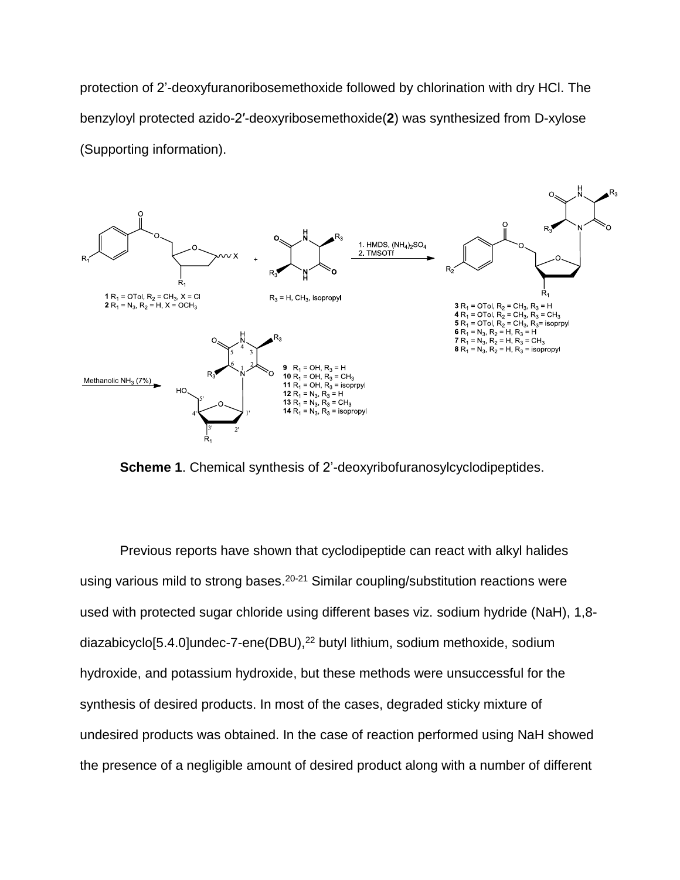protection of 2'-deoxyfuranoribosemethoxide followed by chlorination with dry HCl. The benzyloyl protected azido-2′-deoxyribosemethoxide(**2**) was synthesized from D-xylose (Supporting information).



**Scheme 1**. Chemical synthesis of 2'-deoxyribofuranosylcyclodipeptides.

Previous reports have shown that cyclodipeptide can react with alkyl halides using various mild to strong bases.<sup>[20-21](#page-20-7)</sup> Similar coupling/substitution reactions were used with protected sugar chloride using different bases viz. sodium hydride (NaH), 1,8 diazabicyclo[5.4.0]undec-7-ene(DBU), [22](#page-20-8) butyl lithium, sodium methoxide, sodium hydroxide, and potassium hydroxide, but these methods were unsuccessful for the synthesis of desired products. In most of the cases, degraded sticky mixture of undesired products was obtained. In the case of reaction performed using NaH showed the presence of a negligible amount of desired product along with a number of different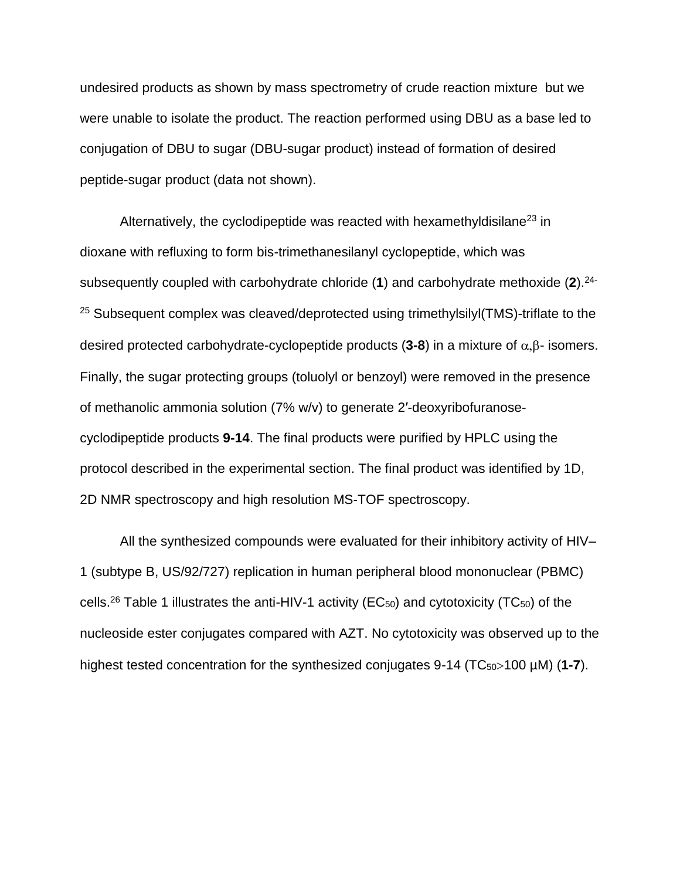undesired products as shown by mass spectrometry of crude reaction mixture but we were unable to isolate the product. The reaction performed using DBU as a base led to conjugation of DBU to sugar (DBU-sugar product) instead of formation of desired peptide-sugar product (data not shown).

Alternatively, the cyclodipeptide was reacted with hexamethyldisilane<sup>[23](#page-20-9)</sup> in dioxane with refluxing to form bis-trimethanesilanyl cyclopeptide, which was subsequently coupled with carbohydrate chloride (**1**) and carbohydrate methoxide (**2**). [24-](#page-21-0)  $25$  Subsequent complex was cleaved/deprotected using trimethylsilyl(TMS)-triflate to the desired protected carbohydrate-cyclopeptide products  $(3-8)$  in a mixture of  $\alpha$ ,  $\beta$ - isomers. Finally, the sugar protecting groups (toluolyl or benzoyl) were removed in the presence of methanolic ammonia solution (7% w/v) to generate 2′-deoxyribofuranosecyclodipeptide products **9-14**. The final products were purified by HPLC using the protocol described in the experimental section. The final product was identified by 1D, 2D NMR spectroscopy and high resolution MS-TOF spectroscopy.

All the synthesized compounds were evaluated for their inhibitory activity of HIV– 1 (subtype B, US/92/727) replication in human peripheral blood mononuclear (PBMC) cells.<sup>[26](#page-21-1)</sup> Table 1 illustrates the anti-HIV-1 activity (EC<sub>50</sub>) and cytotoxicity (TC<sub>50</sub>) of the nucleoside ester conjugates compared with AZT. No cytotoxicity was observed up to the highest tested concentration for the synthesized conjugates 9-14 (TC<sub>50</sub>>100 µM) (1-7).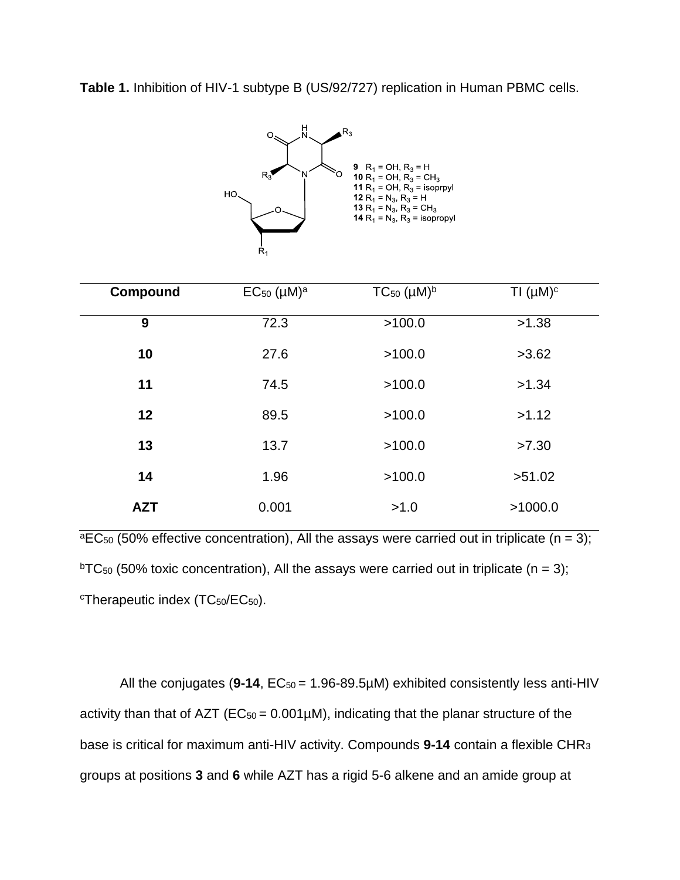**Table 1.** Inhibition of HIV-1 subtype B (US/92/727) replication in Human PBMC cells.



| <b>Compound</b> | $EC_{50}$ (µM) <sup>a</sup> | $TC_{50}$ ( $\mu$ M) <sup>b</sup> | TI $(\mu M)^c$ |
|-----------------|-----------------------------|-----------------------------------|----------------|
| 9               | 72.3                        | >100.0                            | >1.38          |
| 10              | 27.6                        | >100.0                            | >3.62          |
| 11              | 74.5                        | >100.0                            | >1.34          |
| 12              | 89.5                        | >100.0                            | >1.12          |
| 13              | 13.7                        | >100.0                            | >7.30          |
| 14              | 1.96                        | >100.0                            | >51.02         |
| <b>AZT</b>      | 0.001                       | >1.0                              | >1000.0        |

 $\overline{P_{\text{B}}C_{50}}$  (50% effective concentration), All the assays were carried out in triplicate (n = 3); <sup>b</sup>TC<sub>50</sub> (50% toxic concentration), All the assays were carried out in triplicate (n = 3); <sup>c</sup>Therapeutic index (TC<sub>50</sub>/EC<sub>50</sub>).

All the conjugates (9-14,  $EC_{50} = 1.96-89.5 \mu M$ ) exhibited consistently less anti-HIV activity than that of AZT ( $EC_{50} = 0.001 \mu M$ ), indicating that the planar structure of the base is critical for maximum anti-HIV activity. Compounds **9-14** contain a flexible CHR<sup>3</sup> groups at positions **3** and **6** while AZT has a rigid 5-6 alkene and an amide group at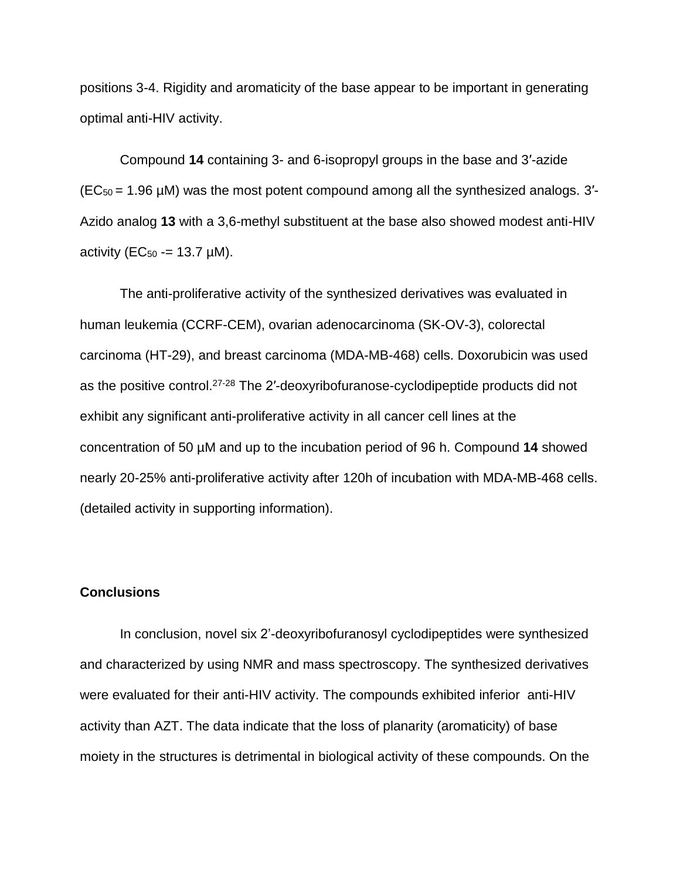positions 3-4. Rigidity and aromaticity of the base appear to be important in generating optimal anti-HIV activity.

Compound **14** containing 3- and 6-isopropyl groups in the base and 3′-azide  $(EC_{50} = 1.96 \,\mu\text{M})$  was the most potent compound among all the synthesized analogs. 3'-Azido analog **13** with a 3,6-methyl substituent at the base also showed modest anti-HIV activity ( $EC_{50} = 13.7 \mu M$ ).

The anti-proliferative activity of the synthesized derivatives was evaluated in human leukemia (CCRF-CEM), ovarian adenocarcinoma (SK-OV-3), colorectal carcinoma (HT-29), and breast carcinoma (MDA-MB-468) cells. Doxorubicin was used as the positive control.<sup>[27-28](#page-21-2)</sup> The 2'-deoxyribofuranose-cyclodipeptide products did not exhibit any significant anti-proliferative activity in all cancer cell lines at the concentration of 50 µM and up to the incubation period of 96 h. Compound **14** showed nearly 20-25% anti-proliferative activity after 120h of incubation with MDA-MB-468 cells. (detailed activity in supporting information).

#### **Conclusions**

In conclusion, novel six 2'-deoxyribofuranosyl cyclodipeptides were synthesized and characterized by using NMR and mass spectroscopy. The synthesized derivatives were evaluated for their anti-HIV activity. The compounds exhibited inferior anti-HIV activity than AZT. The data indicate that the loss of planarity (aromaticity) of base moiety in the structures is detrimental in biological activity of these compounds. On the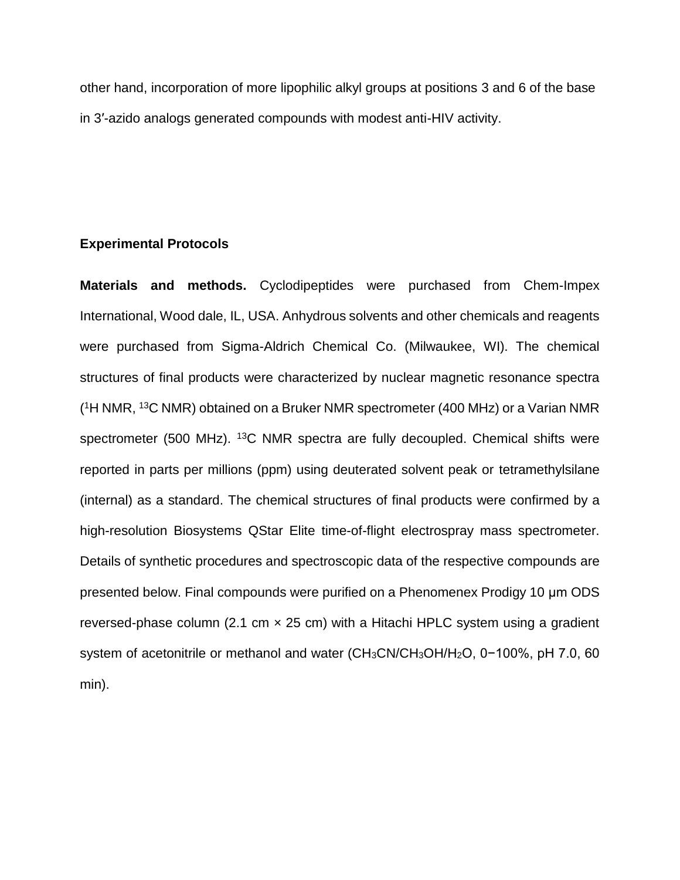other hand, incorporation of more lipophilic alkyl groups at positions 3 and 6 of the base in 3′-azido analogs generated compounds with modest anti-HIV activity.

#### **Experimental Protocols**

**Materials and methods.** Cyclodipeptides were purchased from Chem-Impex International, Wood dale, IL, USA. Anhydrous solvents and other chemicals and reagents were purchased from Sigma-Aldrich Chemical Co. (Milwaukee, WI). The chemical structures of final products were characterized by nuclear magnetic resonance spectra (<sup>1</sup>H NMR, <sup>13</sup>C NMR) obtained on a Bruker NMR spectrometer (400 MHz) or a Varian NMR spectrometer (500 MHz). <sup>13</sup>C NMR spectra are fully decoupled. Chemical shifts were reported in parts per millions (ppm) using deuterated solvent peak or tetramethylsilane (internal) as a standard. The chemical structures of final products were confirmed by a high-resolution Biosystems QStar Elite time-of-flight electrospray mass spectrometer. Details of synthetic procedures and spectroscopic data of the respective compounds are presented below. Final compounds were purified on a Phenomenex Prodigy 10 μm ODS reversed-phase column (2.1 cm  $\times$  25 cm) with a Hitachi HPLC system using a gradient system of acetonitrile or methanol and water (CH<sub>3</sub>CN/CH<sub>3</sub>OH/H<sub>2</sub>O, 0-100%, pH 7.0, 60 min).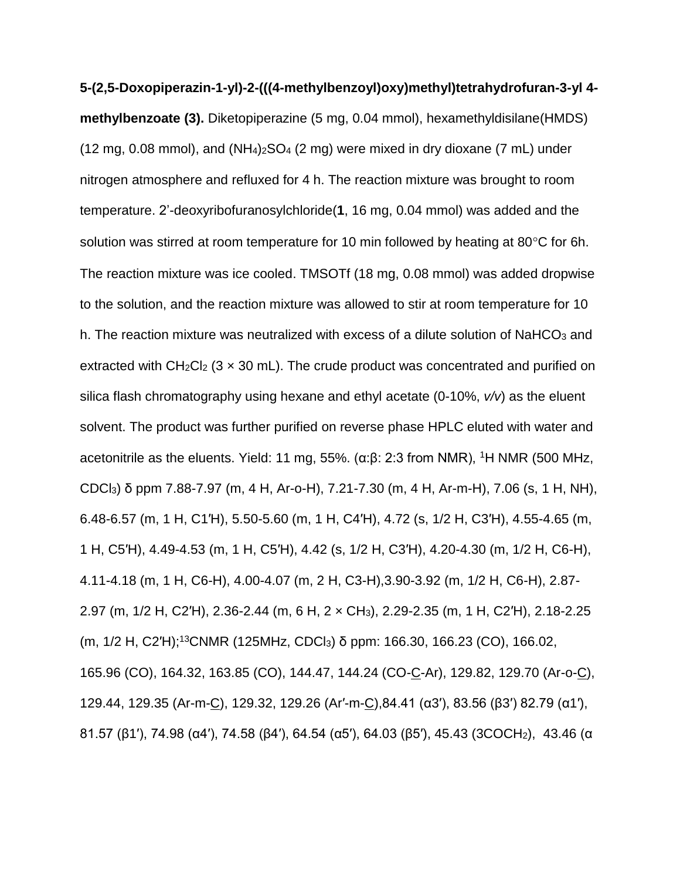**5-(2,5-Doxopiperazin-1-yl)-2-(((4-methylbenzoyl)oxy)methyl)tetrahydrofuran-3-yl 4 methylbenzoate (3).** Diketopiperazine (5 mg, 0.04 mmol), hexamethyldisilane(HMDS) (12 mg, 0.08 mmol), and  $(NH_4)_2SO_4$  (2 mg) were mixed in dry dioxane (7 mL) under nitrogen atmosphere and refluxed for 4 h. The reaction mixture was brought to room temperature. 2'-deoxyribofuranosylchloride(**1**, 16 mg, 0.04 mmol) was added and the solution was stirred at room temperature for 10 min followed by heating at 80 $\degree$ C for 6h. The reaction mixture was ice cooled. TMSOTf (18 mg, 0.08 mmol) was added dropwise to the solution, and the reaction mixture was allowed to stir at room temperature for 10 h. The reaction mixture was neutralized with excess of a dilute solution of NaHCO<sub>3</sub> and extracted with  $CH_2Cl_2$  (3  $\times$  30 mL). The crude product was concentrated and purified on silica flash chromatography using hexane and ethyl acetate (0-10%, *v/v*) as the eluent solvent. The product was further purified on reverse phase HPLC eluted with water and acetonitrile as the eluents. Yield: 11 mg, 55%. ( $\alpha$ :β: 2:3 from NMR), <sup>1</sup>H NMR (500 MHz, CDCl3) δ ppm 7.88-7.97 (m, 4 H, Ar-o-H), 7.21-7.30 (m, 4 H, Ar-m-H), 7.06 (s, 1 H, NH), 6.48-6.57 (m, 1 H, C1′H), 5.50-5.60 (m, 1 H, C4′H), 4.72 (s, 1/2 H, C3′H), 4.55-4.65 (m, 1 H, C5′H), 4.49-4.53 (m, 1 H, C5′H), 4.42 (s, 1/2 H, C3′H), 4.20-4.30 (m, 1/2 H, C6-H), 4.11-4.18 (m, 1 H, C6-H), 4.00-4.07 (m, 2 H, C3-H),3.90-3.92 (m, 1/2 H, C6-H), 2.87- 2.97 (m, 1/2 H, C2′H), 2.36-2.44 (m, 6 H, 2 × CH3), 2.29-2.35 (m, 1 H, C2′H), 2.18-2.25 (m, 1/2 H, C2'H);<sup>13</sup>CNMR (125MHz, CDCl<sub>3</sub>) δ ppm: 166.30, 166.23 (CO), 166.02, 165.96 (CO), 164.32, 163.85 (CO), 144.47, 144.24 (CO-C-Ar), 129.82, 129.70 (Ar-o-C), 129.44, 129.35 (Ar-m-C), 129.32, 129.26 (Ar′-m-C),84.41 (α3′), 83.56 (β3′) 82.79 (α1′), 81.57 (β1′), 74.98 (α4′), 74.58 (β4′), 64.54 (α5′), 64.03 (β5′), 45.43 (3COCH2), 43.46 (α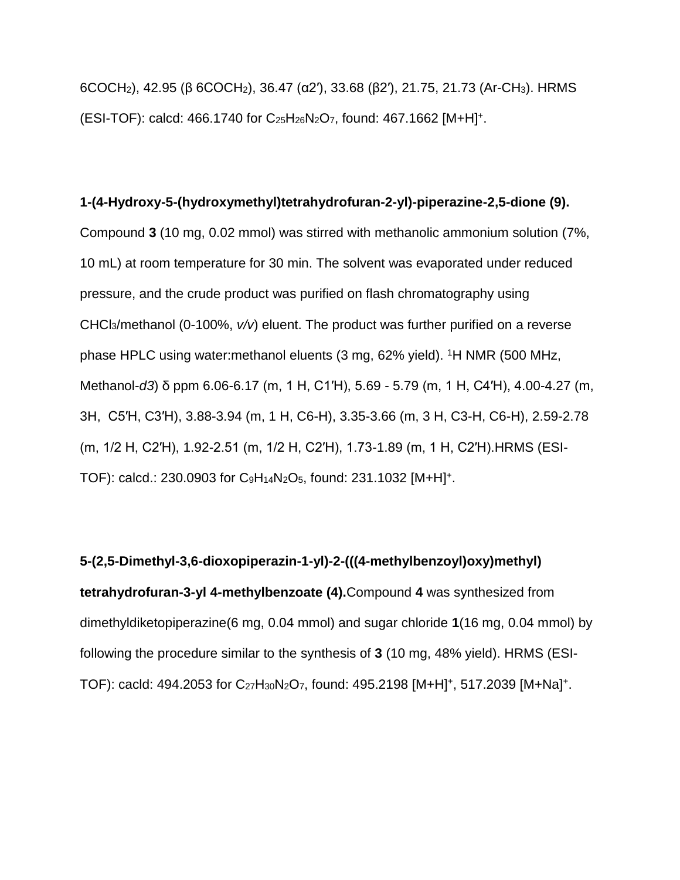6COCH2), 42.95 (β 6COCH2), 36.47 (α2′), 33.68 (β2′), 21.75, 21.73 (Ar-CH3). HRMS  $(ESI-TOF):$  calcd: 466.1740 for C<sub>25</sub>H<sub>26</sub>N<sub>2</sub>O<sub>7</sub>, found: 467.1662 [M+H]<sup>+</sup>.

#### **1-(4-Hydroxy-5-(hydroxymethyl)tetrahydrofuran-2-yl)-piperazine-2,5-dione (9).**

Compound **3** (10 mg, 0.02 mmol) was stirred with methanolic ammonium solution (7%, 10 mL) at room temperature for 30 min. The solvent was evaporated under reduced pressure, and the crude product was purified on flash chromatography using CHCl3/methanol (0-100%, *v/v*) eluent. The product was further purified on a reverse phase HPLC using water: methanol eluents (3 mg, 62% yield). <sup>1</sup>H NMR (500 MHz, Methanol-*d3*) δ ppm 6.06-6.17 (m, 1 H, C1′H), 5.69 - 5.79 (m, 1 H, C4′H), 4.00-4.27 (m, 3H, C5′H, C3′H), 3.88-3.94 (m, 1 H, C6-H), 3.35-3.66 (m, 3 H, C3-H, C6-H), 2.59-2.78 (m, 1/2 H, C2′H), 1.92-2.51 (m, 1/2 H, C2′H), 1.73-1.89 (m, 1 H, C2′H).HRMS (ESI-TOF): calcd.: 230.0903 for C<sub>9</sub>H<sub>14</sub>N<sub>2</sub>O<sub>5</sub>, found: 231.1032 [M+H]<sup>+</sup>.

**5-(2,5-Dimethyl-3,6-dioxopiperazin-1-yl)-2-(((4-methylbenzoyl)oxy)methyl) tetrahydrofuran-3-yl 4-methylbenzoate (4).**Compound **4** was synthesized from dimethyldiketopiperazine(6 mg, 0.04 mmol) and sugar chloride **1**(16 mg, 0.04 mmol) by following the procedure similar to the synthesis of **3** (10 mg, 48% yield). HRMS (ESI-TOF): cacld: 494.2053 for C<sub>27</sub>H<sub>30</sub>N<sub>2</sub>O<sub>7</sub>, found: 495.2198 [M+H]<sup>+</sup>, 517.2039 [M+Na]<sup>+</sup>.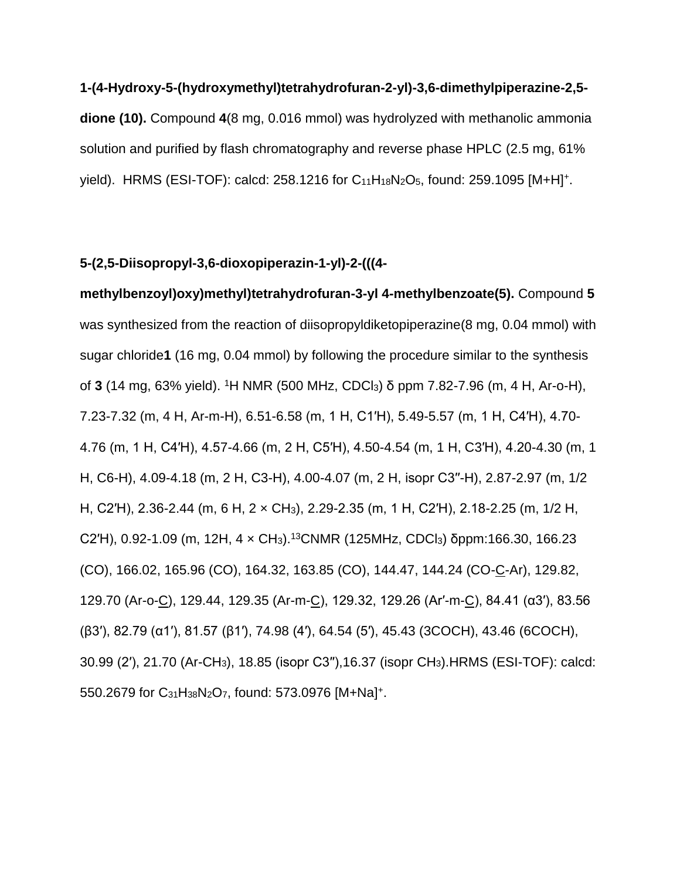**1-(4-Hydroxy-5-(hydroxymethyl)tetrahydrofuran-2-yl)-3,6-dimethylpiperazine-2,5 dione (10).** Compound **4**(8 mg, 0.016 mmol) was hydrolyzed with methanolic ammonia solution and purified by flash chromatography and reverse phase HPLC (2.5 mg, 61% yield). HRMS (ESI-TOF): calcd: 258.1216 for C<sub>11</sub>H<sub>18</sub>N<sub>2</sub>O<sub>5</sub>, found: 259.1095 [M+H]<sup>+</sup>.

#### **5-(2,5-Diisopropyl-3,6-dioxopiperazin-1-yl)-2-(((4-**

**methylbenzoyl)oxy)methyl)tetrahydrofuran-3-yl 4-methylbenzoate(5).** Compound **5** was synthesized from the reaction of diisopropyldiketopiperazine(8 mg, 0.04 mmol) with sugar chloride**1** (16 mg, 0.04 mmol) by following the procedure similar to the synthesis of **3** (14 mg, 63% yield). <sup>1</sup>H NMR (500 MHz, CDCl3) δ ppm 7.82-7.96 (m, 4 H, Ar-o-H), 7.23-7.32 (m, 4 H, Ar-m-H), 6.51-6.58 (m, 1 H, C1′H), 5.49-5.57 (m, 1 H, C4′H), 4.70- 4.76 (m, 1 H, C4′H), 4.57-4.66 (m, 2 H, C5′H), 4.50-4.54 (m, 1 H, C3′H), 4.20-4.30 (m, 1 H, C6-H), 4.09-4.18 (m, 2 H, C3-H), 4.00-4.07 (m, 2 H, isopr C3′′-H), 2.87-2.97 (m, 1/2 H, C2′H), 2.36-2.44 (m, 6 H, 2 × CH3), 2.29-2.35 (m, 1 H, C2′H), 2.18-2.25 (m, 1/2 H, C2'H), 0.92-1.09 (m, 12H, 4 x CH<sub>3</sub>).<sup>13</sup>CNMR (125MHz, CDCl<sub>3</sub>) δppm:166.30, 166.23 (CO), 166.02, 165.96 (CO), 164.32, 163.85 (CO), 144.47, 144.24 (CO-C-Ar), 129.82, 129.70 (Ar-o-C), 129.44, 129.35 (Ar-m-C), 129.32, 129.26 (Ar′-m-C), 84.41 (α3′), 83.56 (β3′), 82.79 (α1′), 81.57 (β1′), 74.98 (4′), 64.54 (5′), 45.43 (3COCH), 43.46 (6COCH), 30.99 (2′), 21.70 (Ar-CH3), 18.85 (isopr C3′′),16.37 (isopr CH3).HRMS (ESI-TOF): calcd: 550.2679 for C<sub>31</sub>H<sub>38</sub>N<sub>2</sub>O<sub>7</sub>, found: 573.0976 [M+Na]<sup>+</sup>.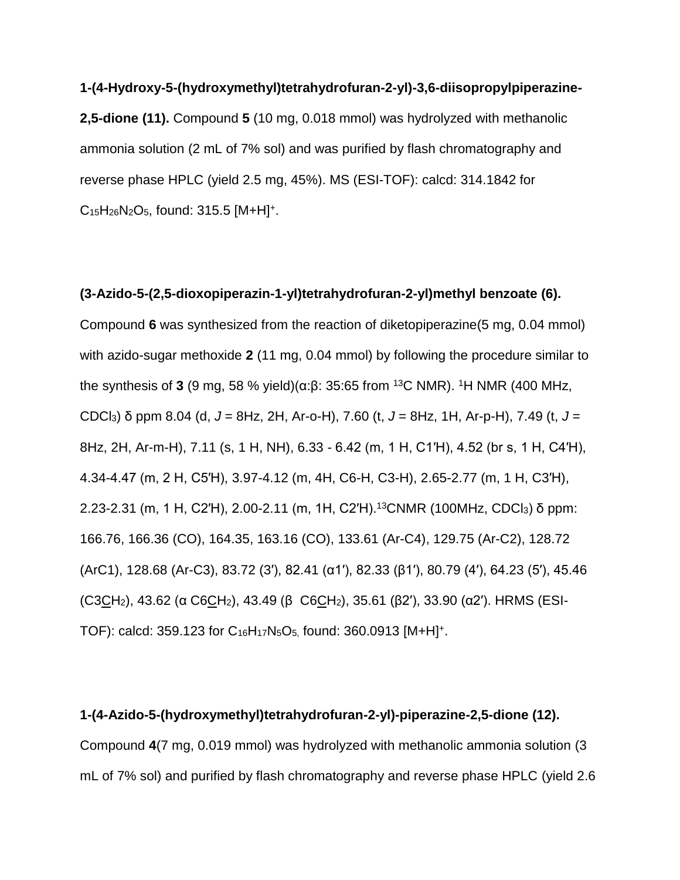**1-(4-Hydroxy-5-(hydroxymethyl)tetrahydrofuran-2-yl)-3,6-diisopropylpiperazine-2,5-dione (11).** Compound **5** (10 mg, 0.018 mmol) was hydrolyzed with methanolic ammonia solution (2 mL of 7% sol) and was purified by flash chromatography and reverse phase HPLC (yield 2.5 mg, 45%). MS (ESI-TOF): calcd: 314.1842 for  $C_{15}H_{26}N_2O_5$ , found: 315.5 [M+H]<sup>+</sup>.

**(3-Azido-5-(2,5-dioxopiperazin-1-yl)tetrahydrofuran-2-yl)methyl benzoate (6).** Compound **6** was synthesized from the reaction of diketopiperazine(5 mg, 0.04 mmol) with azido-sugar methoxide **2** (11 mg, 0.04 mmol) by following the procedure similar to the synthesis of **3** (9 mg, 58 % yield)(α:β: 35:65 from <sup>13</sup>C NMR). <sup>1</sup>H NMR (400 MHz, CDCl3) δ ppm 8.04 (d, *J* = 8Hz, 2H, Ar-o-H), 7.60 (t, *J* = 8Hz, 1H, Ar-p-H), 7.49 (t, *J* = 8Hz, 2H, Ar-m-H), 7.11 (s, 1 H, NH), 6.33 - 6.42 (m, 1 H, C1′H), 4.52 (br s, 1 H, C4′H), 4.34-4.47 (m, 2 H, C5′H), 3.97-4.12 (m, 4H, C6-H, C3-H), 2.65-2.77 (m, 1 H, C3′H), 2.23-2.31 (m, 1 H, C2′H), 2.00-2.11 (m, 1H, C2′H). <sup>13</sup>CNMR (100MHz, CDCl3) δ ppm: 166.76, 166.36 (CO), 164.35, 163.16 (CO), 133.61 (Ar-C4), 129.75 (Ar-C2), 128.72 (ArC1), 128.68 (Ar-C3), 83.72 (3′), 82.41 (α1′), 82.33 (β1′), 80.79 (4′), 64.23 (5′), 45.46 (C3CH<sub>2</sub>), 43.62 (α C6CH<sub>2</sub>), 43.49 (β C6CH<sub>2</sub>), 35.61 (β2'), 33.90 (α2'). HRMS (ESI-TOF): calcd: 359.123 for  $C_{16}H_{17}N_5O_5$ , found: 360.0913 [M+H]<sup>+</sup>.

**1-(4-Azido-5-(hydroxymethyl)tetrahydrofuran-2-yl)-piperazine-2,5-dione (12).** Compound **4**(7 mg, 0.019 mmol) was hydrolyzed with methanolic ammonia solution (3 mL of 7% sol) and purified by flash chromatography and reverse phase HPLC (yield 2.6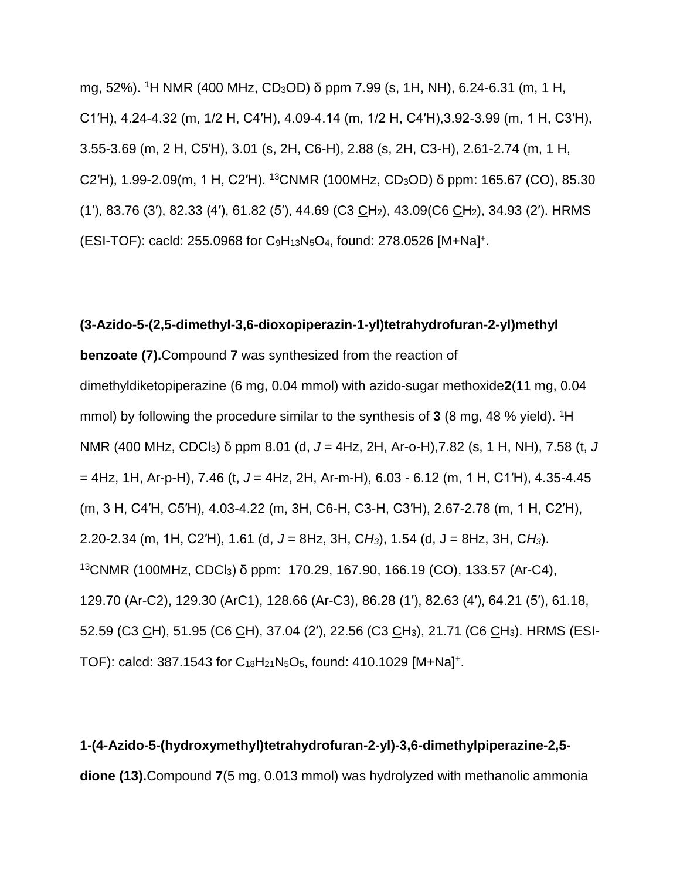mg, 52%). <sup>1</sup>H NMR (400 MHz, CD3OD) δ ppm 7.99 (s, 1H, NH), 6.24-6.31 (m, 1 H, C1′H), 4.24-4.32 (m, 1/2 H, C4′H), 4.09-4.14 (m, 1/2 H, C4′H),3.92-3.99 (m, 1 H, C3′H), 3.55-3.69 (m, 2 H, C5′H), 3.01 (s, 2H, C6-H), 2.88 (s, 2H, C3-H), 2.61-2.74 (m, 1 H, C2'H), 1.99-2.09(m, 1 H, C2'H). <sup>13</sup>CNMR (100MHz, CD<sub>3</sub>OD) δ ppm: 165.67 (CO), 85.30 (1′), 83.76 (3′), 82.33 (4′), 61.82 (5′), 44.69 (C3 CH2), 43.09(C6 CH2), 34.93 (2′). HRMS (ESI-TOF): cacld: 255.0968 for C9H13N5O4, found: 278.0526 [M+Na] + .

### **(3-Azido-5-(2,5-dimethyl-3,6-dioxopiperazin-1-yl)tetrahydrofuran-2-yl)methyl**

**benzoate (7).**Compound **7** was synthesized from the reaction of dimethyldiketopiperazine (6 mg, 0.04 mmol) with azido-sugar methoxide**2**(11 mg, 0.04 mmol) by following the procedure similar to the synthesis of **3** (8 mg, 48 % yield). <sup>1</sup>H NMR (400 MHz, CDCl3) δ ppm 8.01 (d, *J* = 4Hz, 2H, Ar-o-H),7.82 (s, 1 H, NH), 7.58 (t, *J* = 4Hz, 1H, Ar-p-H), 7.46 (t, *J* = 4Hz, 2H, Ar-m-H), 6.03 - 6.12 (m, 1 H, C1′H), 4.35-4.45 (m, 3 H, C4′H, C5′H), 4.03-4.22 (m, 3H, C6-H, C3-H, C3′H), 2.67-2.78 (m, 1 H, C2′H), 2.20-2.34 (m, 1H, C2′H), 1.61 (d, *J* = 8Hz, 3H, C*H3*), 1.54 (d, J = 8Hz, 3H, C*H3*). <sup>13</sup>CNMR (100MHz, CDCl3) δ ppm: 170.29, 167.90, 166.19 (CO), 133.57 (Ar-C4), 129.70 (Ar-C2), 129.30 (ArC1), 128.66 (Ar-C3), 86.28 (1′), 82.63 (4′), 64.21 (5′), 61.18, 52.59 (C3 CH), 51.95 (C6 CH), 37.04 (2′), 22.56 (C3 CH3), 21.71 (C6 CH3). HRMS (ESI-TOF): calcd: 387.1543 for C<sub>18</sub>H<sub>21</sub>N<sub>5</sub>O<sub>5</sub>, found: 410.1029 [M+Na]<sup>+</sup>.

**1-(4-Azido-5-(hydroxymethyl)tetrahydrofuran-2-yl)-3,6-dimethylpiperazine-2,5 dione (13).**Compound **7**(5 mg, 0.013 mmol) was hydrolyzed with methanolic ammonia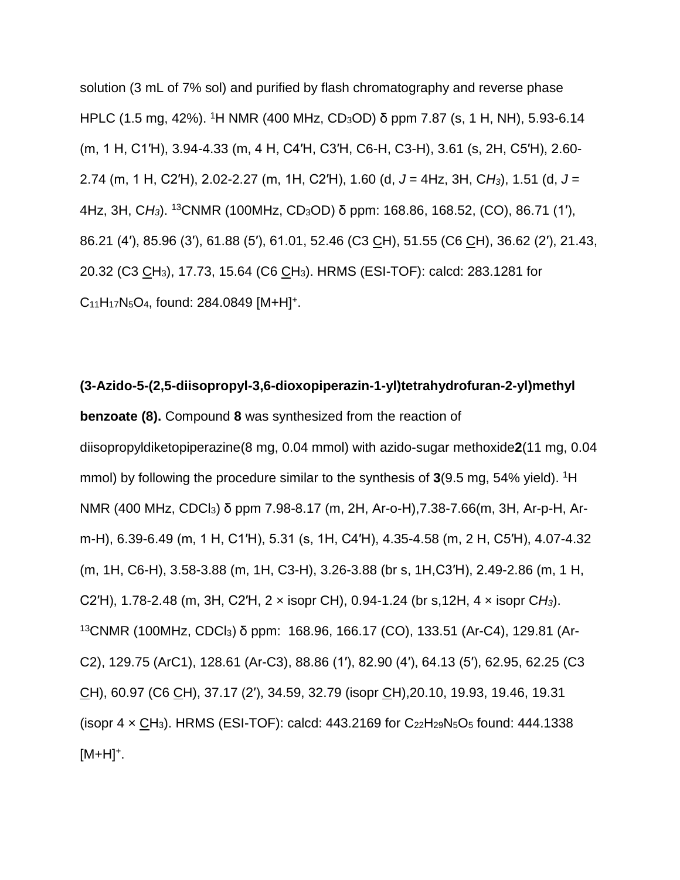solution (3 mL of 7% sol) and purified by flash chromatography and reverse phase HPLC (1.5 mg, 42%). <sup>1</sup>H NMR (400 MHz, CD3OD) δ ppm 7.87 (s, 1 H, NH), 5.93-6.14 (m, 1 H, C1′H), 3.94-4.33 (m, 4 H, C4′H, C3′H, C6-H, C3-H), 3.61 (s, 2H, C5′H), 2.60- 2.74 (m, 1 H, C2′H), 2.02-2.27 (m, 1H, C2′H), 1.60 (d, *J* = 4Hz, 3H, C*H3*), 1.51 (d, *J* = 4Hz, 3H, C*H3*). <sup>13</sup>CNMR (100MHz, CD3OD) δ ppm: 168.86, 168.52, (CO), 86.71 (1′), 86.21 (4′), 85.96 (3′), 61.88 (5′), 61.01, 52.46 (C3 CH), 51.55 (C6 CH), 36.62 (2′), 21.43, 20.32 (C3 CH3), 17.73, 15.64 (C6 CH3). HRMS (ESI-TOF): calcd: 283.1281 for C<sub>11</sub>H<sub>17</sub>N<sub>5</sub>O<sub>4</sub>, found: 284.0849 [M+H]<sup>+</sup>.

**(3-Azido-5-(2,5-diisopropyl-3,6-dioxopiperazin-1-yl)tetrahydrofuran-2-yl)methyl benzoate (8).** Compound **8** was synthesized from the reaction of diisopropyldiketopiperazine(8 mg, 0.04 mmol) with azido-sugar methoxide**2**(11 mg, 0.04 mmol) by following the procedure similar to the synthesis of 3(9.5 mg, 54% yield). <sup>1</sup>H NMR (400 MHz, CDCl3) δ ppm 7.98-8.17 (m, 2H, Ar-o-H),7.38-7.66(m, 3H, Ar-p-H, Arm-H), 6.39-6.49 (m, 1 H, C1′H), 5.31 (s, 1H, C4′H), 4.35-4.58 (m, 2 H, C5′H), 4.07-4.32 (m, 1H, C6-H), 3.58-3.88 (m, 1H, C3-H), 3.26-3.88 (br s, 1H,C3′H), 2.49-2.86 (m, 1 H, C2′H), 1.78-2.48 (m, 3H, C2′H, 2 × isopr CH), 0.94-1.24 (br s,12H, 4 × isopr C*H3*). <sup>13</sup>CNMR (100MHz, CDCl3) δ ppm: 168.96, 166.17 (CO), 133.51 (Ar-C4), 129.81 (Ar-C2), 129.75 (ArC1), 128.61 (Ar-C3), 88.86 (1′), 82.90 (4′), 64.13 (5′), 62.95, 62.25 (C3 CH), 60.97 (C6 CH), 37.17 (2′), 34.59, 32.79 (isopr CH),20.10, 19.93, 19.46, 19.31 (isopr  $4 \times CH_3$ ). HRMS (ESI-TOF): calcd: 443.2169 for C<sub>22</sub>H<sub>29</sub>N<sub>5</sub>O<sub>5</sub> found: 444.1338  $[M+H]^+$ .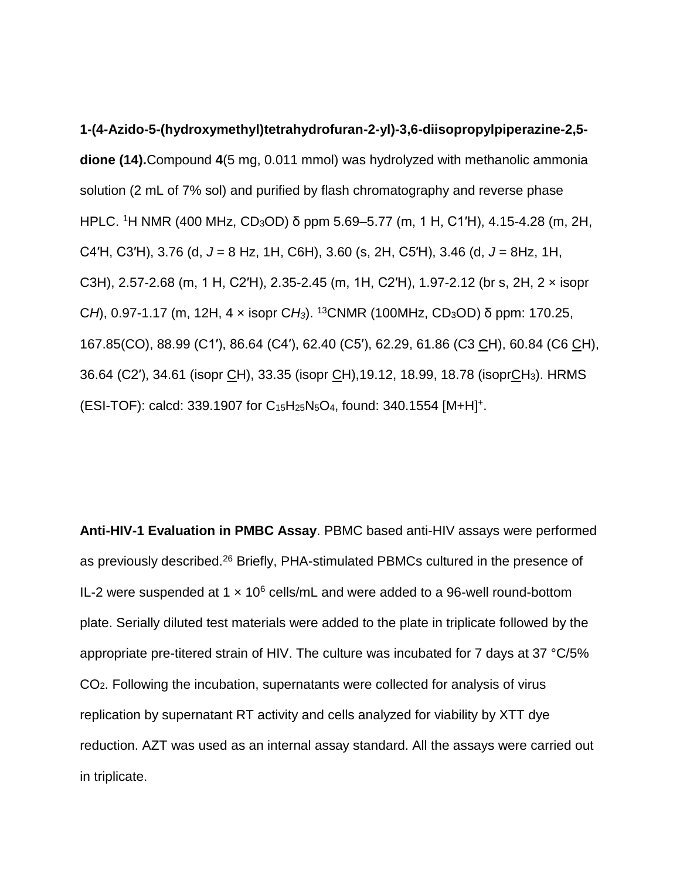**1-(4-Azido-5-(hydroxymethyl)tetrahydrofuran-2-yl)-3,6-diisopropylpiperazine-2,5 dione (14).**Compound **4**(5 mg, 0.011 mmol) was hydrolyzed with methanolic ammonia solution (2 mL of 7% sol) and purified by flash chromatography and reverse phase HPLC. <sup>1</sup>H NMR (400 MHz, CD3OD) δ ppm 5.69–5.77 (m, 1 H, C1′H), 4.15-4.28 (m, 2H, C4′H, C3′H), 3.76 (d, *J* = 8 Hz, 1H, C6H), 3.60 (s, 2H, C5′H), 3.46 (d, *J* = 8Hz, 1H, C3H), 2.57-2.68 (m, 1 H, C2′H), 2.35-2.45 (m, 1H, C2′H), 1.97-2.12 (br s, 2H, 2 × isopr C*H*), 0.97-1.17 (m, 12H, 4 × isopr C*H3*). <sup>13</sup>CNMR (100MHz, CD3OD) δ ppm: 170.25, 167.85(CO), 88.99 (C1′), 86.64 (C4′), 62.40 (C5′), 62.29, 61.86 (C3 CH), 60.84 (C6 CH), 36.64 (C2′), 34.61 (isopr CH), 33.35 (isopr CH),19.12, 18.99, 18.78 (isoprCH3). HRMS (ESI-TOF): calcd: 339.1907 for C<sub>15</sub>H<sub>25</sub>N<sub>5</sub>O<sub>4</sub>, found: 340.1554 [M+H]<sup>+</sup>.

**Anti-HIV-1 Evaluation in PMBC Assay**. PBMC based anti-HIV assays were performed as previously described.[26](#page-21-1) Briefly, PHA-stimulated PBMCs cultured in the presence of IL-2 were suspended at  $1 \times 10^6$  cells/mL and were added to a 96-well round-bottom plate. Serially diluted test materials were added to the plate in triplicate followed by the appropriate pre-titered strain of HIV. The culture was incubated for 7 days at 37 °C/5% CO2. Following the incubation, supernatants were collected for analysis of virus replication by supernatant RT activity and cells analyzed for viability by XTT dye reduction. AZT was used as an internal assay standard. All the assays were carried out in triplicate.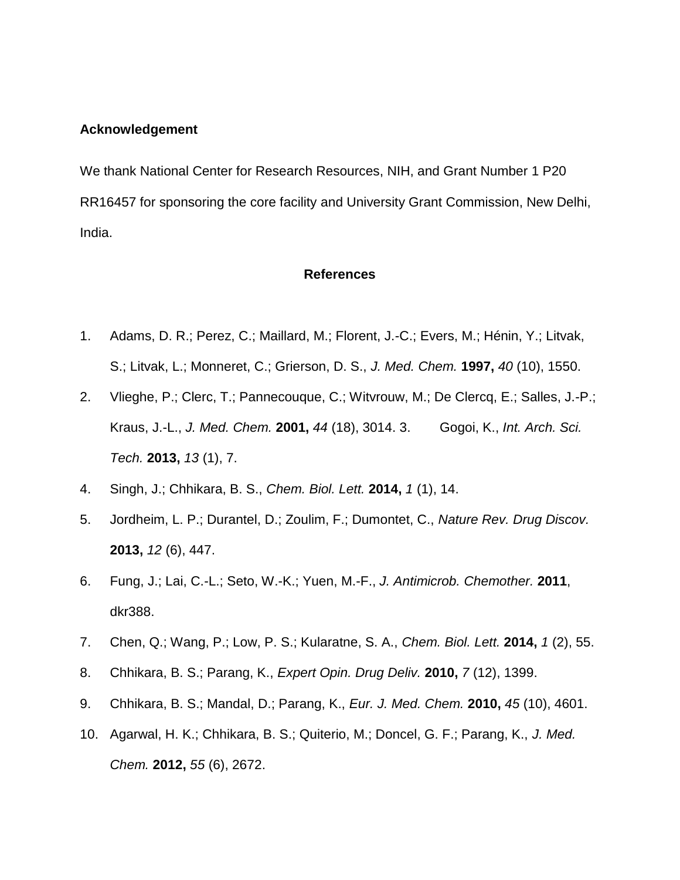#### **Acknowledgement**

We thank National Center for Research Resources, NIH, and Grant Number 1 P20 RR16457 for sponsoring the core facility and University Grant Commission, New Delhi, India.

#### **References**

- <span id="page-19-0"></span>1. Adams, D. R.; Perez, C.; Maillard, M.; Florent, J.-C.; Evers, M.; Hénin, Y.; Litvak, S.; Litvak, L.; Monneret, C.; Grierson, D. S., *J. Med. Chem.* **1997,** *40* (10), 1550.
- 2. Vlieghe, P.; Clerc, T.; Pannecouque, C.; Witvrouw, M.; De Clercq, E.; Salles, J.-P.; Kraus, J.-L., *J. Med. Chem.* **2001,** *44* (18), 3014. 3. Gogoi, K., *Int. Arch. Sci. Tech.* **2013,** *13* (1), 7.
- <span id="page-19-1"></span>4. Singh, J.; Chhikara, B. S., *Chem. Biol. Lett.* **2014,** *1* (1), 14.
- 5. Jordheim, L. P.; Durantel, D.; Zoulim, F.; Dumontet, C., *Nature Rev. Drug Discov.* **2013,** *12* (6), 447.
- 6. Fung, J.; Lai, C.-L.; Seto, W.-K.; Yuen, M.-F., *J. Antimicrob. Chemother.* **2011**, dkr388.
- 7. Chen, Q.; Wang, P.; Low, P. S.; Kularatne, S. A., *Chem. Biol. Lett.* **2014,** *1* (2), 55.
- <span id="page-19-2"></span>8. Chhikara, B. S.; Parang, K., *Expert Opin. Drug Deliv.* **2010,** *7* (12), 1399.
- 9. Chhikara, B. S.; Mandal, D.; Parang, K., *Eur. J. Med. Chem.* **2010,** *45* (10), 4601.
- <span id="page-19-3"></span>10. Agarwal, H. K.; Chhikara, B. S.; Quiterio, M.; Doncel, G. F.; Parang, K., *J. Med. Chem.* **2012,** *55* (6), 2672.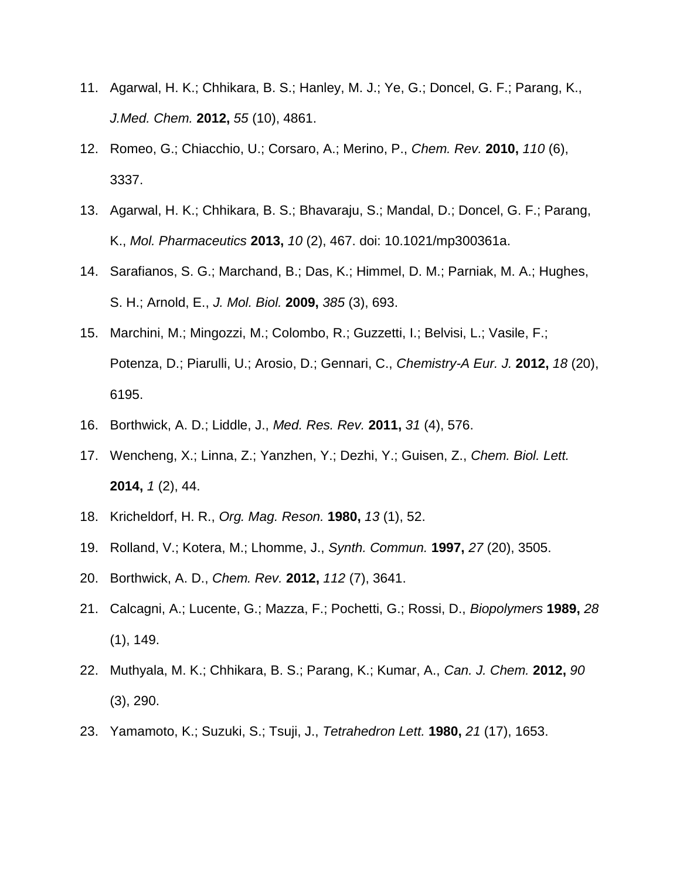- 11. Agarwal, H. K.; Chhikara, B. S.; Hanley, M. J.; Ye, G.; Doncel, G. F.; Parang, K., *J.Med. Chem.* **2012,** *55* (10), 4861.
- <span id="page-20-0"></span>12. Romeo, G.; Chiacchio, U.; Corsaro, A.; Merino, P., *Chem. Rev.* **2010,** *110* (6), 3337.
- <span id="page-20-1"></span>13. Agarwal, H. K.; Chhikara, B. S.; Bhavaraju, S.; Mandal, D.; Doncel, G. F.; Parang, K., *Mol. Pharmaceutics* **2013,** *10* (2), 467. doi: 10.1021/mp300361a.
- <span id="page-20-2"></span>14. Sarafianos, S. G.; Marchand, B.; Das, K.; Himmel, D. M.; Parniak, M. A.; Hughes, S. H.; Arnold, E., *J. Mol. Biol.* **2009,** *385* (3), 693.
- <span id="page-20-3"></span>15. Marchini, M.; Mingozzi, M.; Colombo, R.; Guzzetti, I.; Belvisi, L.; Vasile, F.; Potenza, D.; Piarulli, U.; Arosio, D.; Gennari, C., *Chemistry-A Eur. J.* **2012,** *18* (20), 6195.
- 16. Borthwick, A. D.; Liddle, J., *Med. Res. Rev.* **2011,** *31* (4), 576.
- <span id="page-20-4"></span>17. Wencheng, X.; Linna, Z.; Yanzhen, Y.; Dezhi, Y.; Guisen, Z., *Chem. Biol. Lett.* **2014,** *1* (2), 44.
- <span id="page-20-5"></span>18. Kricheldorf, H. R., *Org. Mag. Reson.* **1980,** *13* (1), 52.
- <span id="page-20-6"></span>19. Rolland, V.; Kotera, M.; Lhomme, J., *Synth. Commun.* **1997,** *27* (20), 3505.
- <span id="page-20-7"></span>20. Borthwick, A. D., *Chem. Rev.* **2012,** *112* (7), 3641.
- 21. Calcagni, A.; Lucente, G.; Mazza, F.; Pochetti, G.; Rossi, D., *Biopolymers* **1989,** *28* (1), 149.
- <span id="page-20-8"></span>22. Muthyala, M. K.; Chhikara, B. S.; Parang, K.; Kumar, A., *Can. J. Chem.* **2012,** *90* (3), 290.
- <span id="page-20-9"></span>23. Yamamoto, K.; Suzuki, S.; Tsuji, J., *Tetrahedron Lett.* **1980,** *21* (17), 1653.